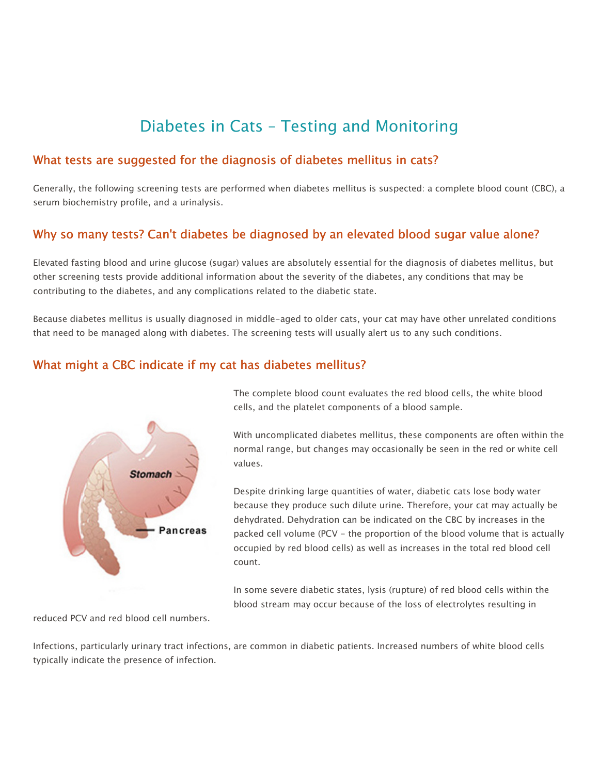# Diabetes in Cats – Testing and Monitoring

#### What tests are suggested for the diagnosis of diabetes mellitus in cats?

Generally, the following screening tests are performed when diabetes mellitus is suspected: a complete blood count (CBC), a serum biochemistry profile, and a urinalysis.

# Why so many tests? Can't diabetes be diagnosed by an elevated blood sugar value alone?

Elevated fasting blood and urine glucose (sugar) values are absolutely essential for the diagnosis of diabetes mellitus, but other screening tests provide additional information about the severity of the diabetes, any conditions that may be contributing to the diabetes, and any complications related to the diabetic state.

Because diabetes mellitus is usually diagnosed in middle-aged to older cats, your cat may have other unrelated conditions that need to be managed along with diabetes. The screening tests will usually alert us to any such conditions.

#### What might a CBC indicate if my cat has diabetes mellitus?



The complete blood count evaluates the red blood cells, the white blood cells, and the platelet components of a blood sample.

With uncomplicated diabetes mellitus, these components are often within the normal range, but changes may occasionally be seen in the red or white cell values.

Despite drinking large quantities of water, diabetic cats lose body water because they produce such dilute urine. Therefore, your cat may actually be dehydrated. Dehydration can be indicated on the CBC by increases in the packed cell volume (PCV - the proportion of the blood volume that is actually occupied by red blood cells) as well as increases in the total red blood cell count.

In some severe diabetic states, lysis (rupture) of red blood cells within the blood stream may occur because of the loss of electrolytes resulting in

reduced PCV and red blood cell numbers.

Infections, particularly urinary tract infections, are common in diabetic patients. Increased numbers of white blood cells typically indicate the presence of infection.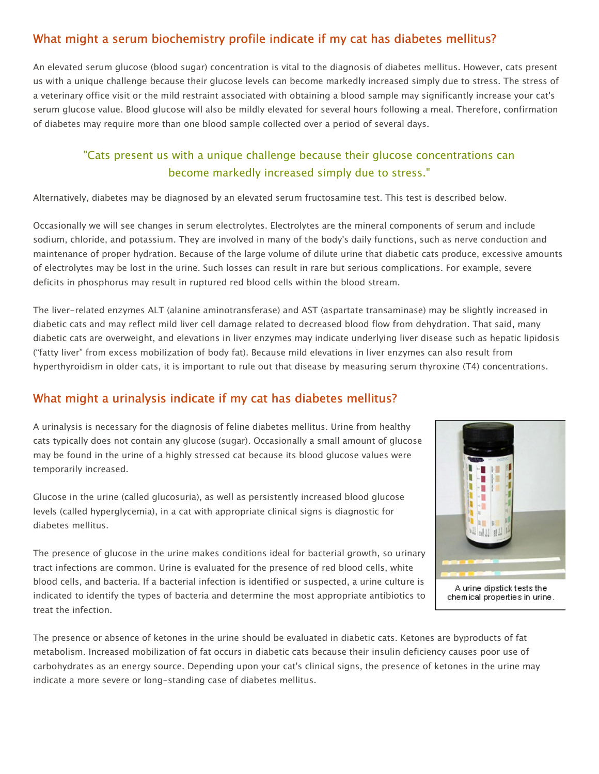# What might a serum biochemistry profile indicate if my cat has diabetes mellitus?

An elevated serum glucose (blood sugar) concentration is vital to the diagnosis of diabetes mellitus. However, cats present us with a unique challenge because their glucose levels can become markedly increased simply due to stress. The stress of a veterinary office visit or the mild restraint associated with obtaining a blood sample may significantly increase your cat's serum glucose value. Blood glucose will also be mildly elevated for several hours following a meal. Therefore, confirmation of diabetes may require more than one blood sample collected over a period of several days.

# "Cats present us with a unique challenge because their glucose concentrations can become markedly increased simply due to stress."

Alternatively, diabetes may be diagnosed by an elevated serum fructosamine test. This test is described below.

Occasionally we will see changes in serum electrolytes. Electrolytes are the mineral components of serum and include sodium, chloride, and potassium. They are involved in many of the body's daily functions, such as nerve conduction and maintenance of proper hydration. Because of the large volume of dilute urine that diabetic cats produce, excessive amounts of electrolytes may be lost in the urine. Such losses can result in rare but serious complications. For example, severe deficits in phosphorus may result in ruptured red blood cells within the blood stream.

The liver-related enzymes ALT (alanine aminotransferase) and AST (aspartate transaminase) may be slightly increased in diabetic cats and may reflect mild liver cell damage related to decreased blood flow from dehydration. That said, many diabetic cats are overweight, and elevations in liver enzymes may indicate underlying liver disease such as hepatic lipidosis ("fatty liver" from excess mobilization of body fat). Because mild elevations in liver enzymes can also result from hyperthyroidism in older cats, it is important to rule out that disease by measuring serum thyroxine (T4) concentrations.

### What might a urinalysis indicate if my cat has diabetes mellitus?

A urinalysis is necessary for the diagnosis of feline diabetes mellitus. Urine from healthy cats typically does not contain any glucose (sugar). Occasionally a small amount of glucose may be found in the urine of a highly stressed cat because its blood glucose values were temporarily increased.

Glucose in the urine (called glucosuria), as well as persistently increased blood glucose levels (called hyperglycemia), in a cat with appropriate clinical signs is diagnostic for diabetes mellitus.



A urine dipstick tests the chemical properties in urine.

The presence of glucose in the urine makes conditions ideal for bacterial growth, so urinary tract infections are common. Urine is evaluated for the presence of red blood cells, white blood cells, and bacteria. If a bacterial infection is identified or suspected, a urine culture is indicated to identify the types of bacteria and determine the most appropriate antibiotics to treat the infection.

The presence or absence of ketones in the urine should be evaluated in diabetic cats. Ketones are byproducts of fat metabolism. Increased mobilization of fat occurs in diabetic cats because their insulin deficiency causes poor use of carbohydrates as an energy source. Depending upon your cat's clinical signs, the presence of ketones in the urine may indicate a more severe or long-standing case of diabetes mellitus.